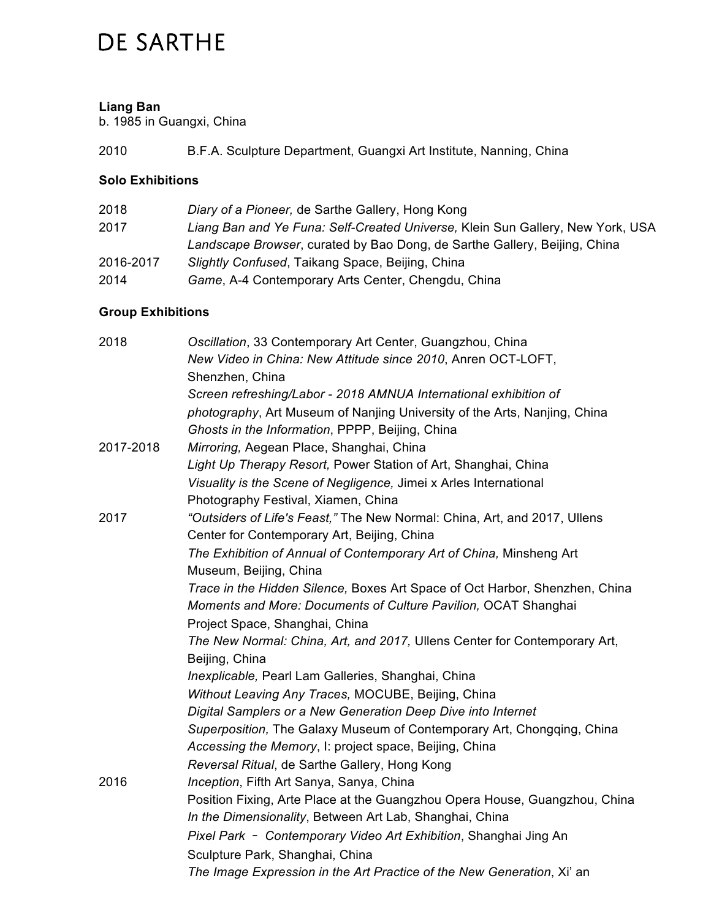# **DE SARTHE**

### **Liang Ban**

b. 1985 in Guangxi, China

2010 B.F.A. Sculpture Department, Guangxi Art Institute, Nanning, China

### **Solo Exhibitions**

| 2018      | Diary of a Pioneer, de Sarthe Gallery, Hong Kong                               |
|-----------|--------------------------------------------------------------------------------|
| 2017      | Liang Ban and Ye Funa: Self-Created Universe, Klein Sun Gallery, New York, USA |
|           | Landscape Browser, curated by Bao Dong, de Sarthe Gallery, Beijing, China      |
| 2016-2017 | Slightly Confused, Taikang Space, Beijing, China                               |
| 2014      | Game, A-4 Contemporary Arts Center, Chengdu, China                             |

## **Group Exhibitions**

| 2018      | Oscillation, 33 Contemporary Art Center, Guangzhou, China                   |
|-----------|-----------------------------------------------------------------------------|
|           | New Video in China: New Attitude since 2010, Anren OCT-LOFT,                |
|           | Shenzhen, China                                                             |
|           | Screen refreshing/Labor - 2018 AMNUA International exhibition of            |
|           | photography, Art Museum of Nanjing University of the Arts, Nanjing, China   |
|           | Ghosts in the Information, PPPP, Beijing, China                             |
| 2017-2018 | Mirroring, Aegean Place, Shanghai, China                                    |
|           | Light Up Therapy Resort, Power Station of Art, Shanghai, China              |
|           | Visuality is the Scene of Negligence, Jimei x Arles International           |
|           | Photography Festival, Xiamen, China                                         |
| 2017      | "Outsiders of Life's Feast," The New Normal: China, Art, and 2017, Ullens   |
|           | Center for Contemporary Art, Beijing, China                                 |
|           | The Exhibition of Annual of Contemporary Art of China, Minsheng Art         |
|           | Museum, Beijing, China                                                      |
|           | Trace in the Hidden Silence, Boxes Art Space of Oct Harbor, Shenzhen, China |
|           | Moments and More: Documents of Culture Pavilion, OCAT Shanghai              |
|           | Project Space, Shanghai, China                                              |
|           | The New Normal: China, Art, and 2017, Ullens Center for Contemporary Art,   |
|           | Beijing, China                                                              |
|           | Inexplicable, Pearl Lam Galleries, Shanghai, China                          |
|           | Without Leaving Any Traces, MOCUBE, Beijing, China                          |
|           | Digital Samplers or a New Generation Deep Dive into Internet                |
|           | Superposition, The Galaxy Museum of Contemporary Art, Chongqing, China      |
|           | Accessing the Memory, I: project space, Beijing, China                      |
|           | Reversal Ritual, de Sarthe Gallery, Hong Kong                               |
| 2016      | Inception, Fifth Art Sanya, Sanya, China                                    |
|           | Position Fixing, Arte Place at the Guangzhou Opera House, Guangzhou, China  |
|           | In the Dimensionality, Between Art Lab, Shanghai, China                     |
|           | Pixel Park - Contemporary Video Art Exhibition, Shanghai Jing An            |
|           | Sculpture Park, Shanghai, China                                             |
|           | The Image Expression in the Art Practice of the New Generation, Xi' an      |
|           |                                                                             |